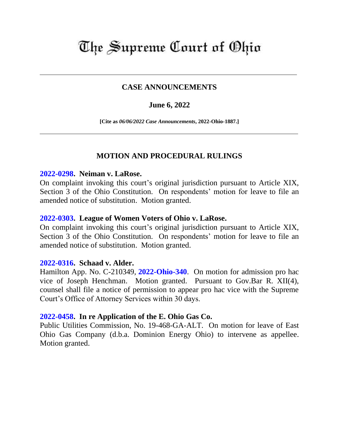# The Supreme Court of Ohio

# **CASE ANNOUNCEMENTS**

## **June 6, 2022**

**[Cite as** *06/06/2022 Case Announcements***, 2022-Ohio-1887.]**

## **MOTION AND PROCEDURAL RULINGS**

#### **[2022-0298.](https://www.supremecourt.ohio.gov/Clerk/ecms/#/caseinfo/2022/0298) Neiman v. LaRose.**

On complaint invoking this court's original jurisdiction pursuant to Article XIX, Section 3 of the Ohio Constitution. On respondents' motion for leave to file an amended notice of substitution. Motion granted.

#### **[2022-0303.](https://www.supremecourt.ohio.gov/Clerk/ecms/#/caseinfo/2022/0303) League of Women Voters of Ohio v. LaRose.**

On complaint invoking this court's original jurisdiction pursuant to Article XIX, Section 3 of the Ohio Constitution. On respondents' motion for leave to file an amended notice of substitution. Motion granted.

## **[2022-0316.](https://www.supremecourt.ohio.gov/Clerk/ecms/#/caseinfo/2022/0316) Schaad v. Alder.**

Hamilton App. No. C-210349, **[2022-Ohio-340](https://www.supremecourt.ohio.gov/rod/docs/pdf/1/2022/2022-Ohio-340.pdf)**. On motion for admission pro hac vice of Joseph Henchman. Motion granted. Pursuant to Gov.Bar R. XII(4), counsel shall file a notice of permission to appear pro hac vice with the Supreme Court's Office of Attorney Services within 30 days.

#### **[2022-0458.](https://www.supremecourt.ohio.gov/Clerk/ecms/#/caseinfo/2022/0458) In re Application of the E. Ohio Gas Co.**

Public Utilities Commission, No. 19-468-GA-ALT. On motion for leave of East Ohio Gas Company (d.b.a. Dominion Energy Ohio) to intervene as appellee. Motion granted.